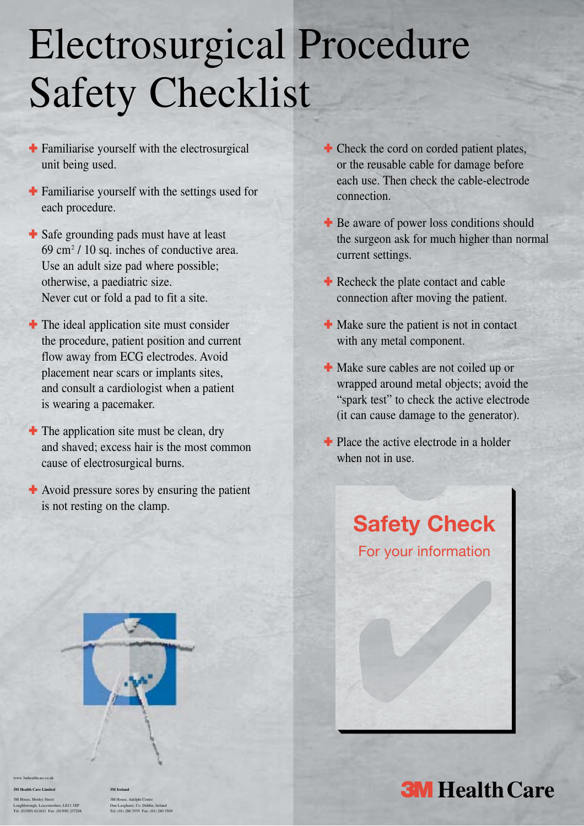# Electrosurgical Procedure Safety Checklist

- **<sup>■</sup>** Familiarise yourself with the electrosurgical unit being used.
- $\div$  Familiarise yourself with the settings used for each procedure.
- $\div$  Safe grounding pads must have at least  $69 \text{ cm}^2$  / 10 sq. inches of conductive area. Use an adult size pad where possible; otherwise, a paediatric size. Never cut or fold a pad to fit a site.
- $\blacksquare$  The ideal application site must consider the procedure, patient position and current flow away from ECG electrodes. Avoid placement near scars or implants sites, and consult a cardiologist when a patient is wearing a pacemaker.
- $\bullet$  The application site must be clean, dry and shaved; excess hair is the most common cause of electrosurgical burns.
- **<sup>■</sup>** Avoid pressure sores by ensuring the patient is not resting on the clamp.
- **<sup>■</sup>** Check the cord on corded patient plates, or the reusable cable for damage before each use. Then check the cable-electrode connection.
- **<sup>■</sup>** Be aware of power loss conditions should the surgeon ask for much higher than normal current settings.
- **<sup>■</sup>** Recheck the plate contact and cable connection after moving the patient.
- $\bullet$  Make sure the patient is not in contact with any metal component.
- $\bullet$  Make sure cables are not coiled up or wrapped around metal objects; avoid the "spark test" to check the active electrode (it can cause damage to the generator).
- $\bullet$  Place the active electrode in a holder when not in use.



Care Limited<br>Morley Street<br><sub>2</sub>01. Licenscheine, LE11 LEP<br>0.6LIGILI EN: (01590) 237288<br>Tel: (01) 280 9355 EV: (01) 280 93560

**3M Health Care Limited 3M Ireland** 

3M House, Morley Street 3M House, Adelphi Centre Loughborough, Leicestershire, LE11 1EP Dun Laoghaire, Co. Dublin, Ireland Tel: (01509) 611611 Fax: (01509) 237288 Tel: (01) 280 3555 Fax: (01) 280 3509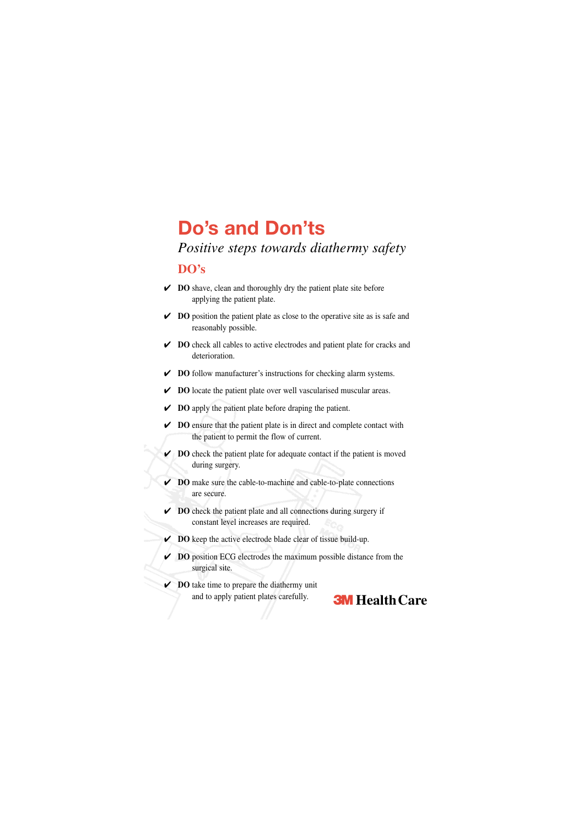## **Do's and Don'ts**

*Positive steps towards diathermy safety*

#### **DO's**

- ✔ **DO** shave, clean and thoroughly dry the patient plate site before applying the patient plate.
- ✔ **DO** position the patient plate as close to the operative site as is safe and reasonably possible.
- ✔ **DO** check all cables to active electrodes and patient plate for cracks and deterioration.
- ✔ **DO** follow manufacturer's instructions for checking alarm systems.
- ✔ **DO** locate the patient plate over well vascularised muscular areas.
- ✔ **DO** apply the patient plate before draping the patient.
- ✔ **DO** ensure that the patient plate is in direct and complete contact with the patient to permit the flow of current.
- ✔ **DO** check the patient plate for adequate contact if the patient is moved during surgery.
- ✔ **DO** make sure the cable-to-machine and cable-to-plate connections are secure.
- ✔ **DO** check the patient plate and all connections during surgery if constant level increases are required.
- ✔ **DO** keep the active electrode blade clear of tissue build-up.
- ✔ **DO** position ECG electrodes the maximum possible distance from the surgical site.
- ✔ **DO** take time to prepare the diathermy unit and to apply patient plates carefully. **3M Health Care**